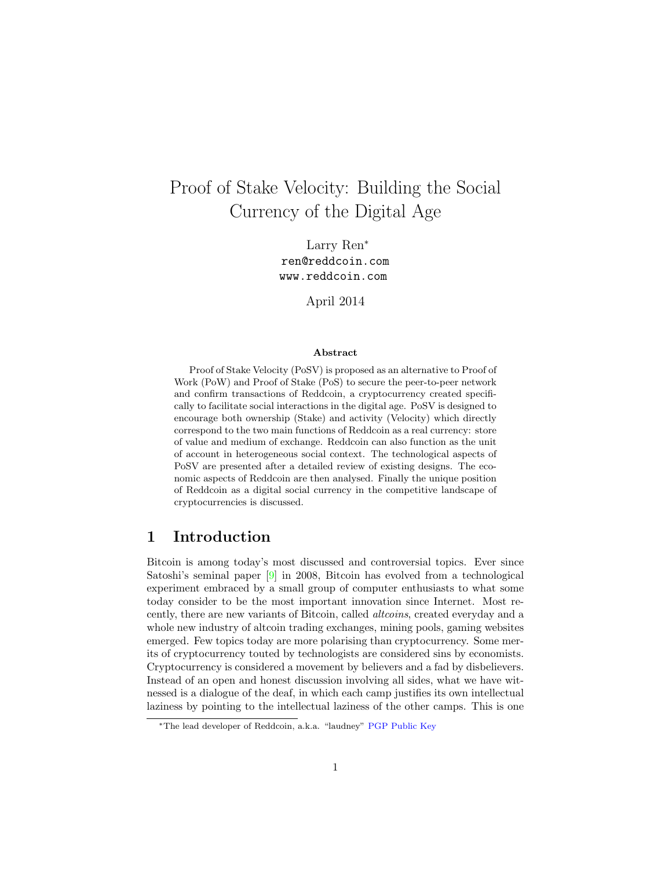# Proof of Stake Velocity: Building the Social Currency of the Digital Age

Larry Ren<sup>∗</sup> ren@reddcoin.com www.reddcoin.com

April 2014

#### Abstract

Proof of Stake Velocity (PoSV) is proposed as an alternative to Proof of Work (PoW) and Proof of Stake (PoS) to secure the peer-to-peer network and confirm transactions of Reddcoin, a cryptocurrency created specifically to facilitate social interactions in the digital age. PoSV is designed to encourage both ownership (Stake) and activity (Velocity) which directly correspond to the two main functions of Reddcoin as a real currency: store of value and medium of exchange. Reddcoin can also function as the unit of account in heterogeneous social context. The technological aspects of PoSV are presented after a detailed review of existing designs. The economic aspects of Reddcoin are then analysed. Finally the unique position of Reddcoin as a digital social currency in the competitive landscape of cryptocurrencies is discussed.

# 1 Introduction

Bitcoin is among today's most discussed and controversial topics. Ever since Satoshi's seminal paper [\[9\]](#page-12-0) in 2008, Bitcoin has evolved from a technological experiment embraced by a small group of computer enthusiasts to what some today consider to be the most important innovation since Internet. Most recently, there are new variants of Bitcoin, called altcoins, created everyday and a whole new industry of altcoin trading exchanges, mining pools, gaming websites emerged. Few topics today are more polarising than cryptocurrency. Some merits of cryptocurrency touted by technologists are considered sins by economists. Cryptocurrency is considered a movement by believers and a fad by disbelievers. Instead of an open and honest discussion involving all sides, what we have witnessed is a dialogue of the deaf, in which each camp justifies its own intellectual laziness by pointing to the intellectual laziness of the other camps. This is one

<sup>∗</sup>The lead developer of Reddcoin, a.k.a. "laudney" [PGP Public Key](https://pgp.mit.edu/pks/lookup?op=get&search=0x75F709B04555FCE0)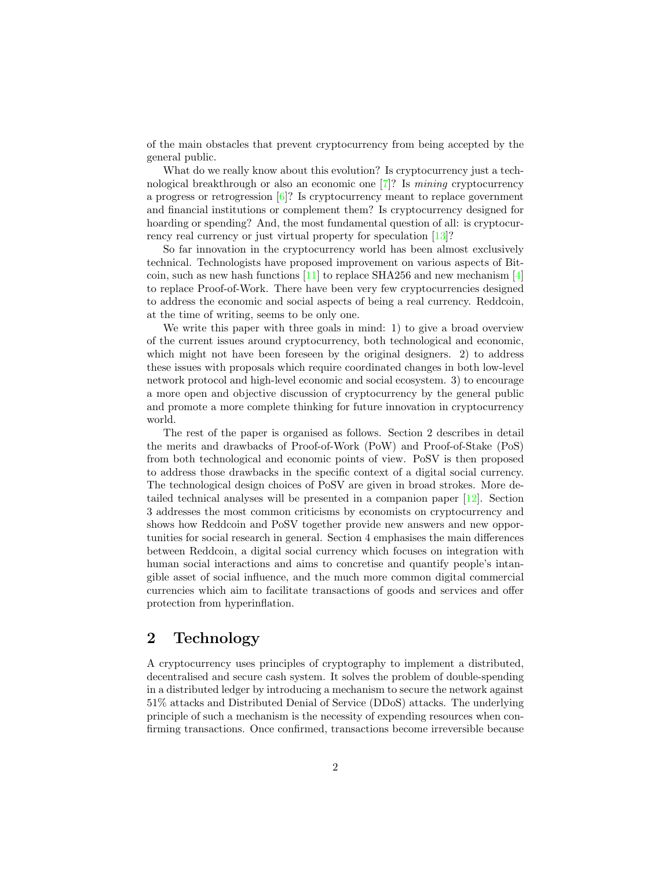of the main obstacles that prevent cryptocurrency from being accepted by the general public.

What do we really know about this evolution? Is cryptocurrency just a technological breakthrough or also an economic one  $[7]$ ? Is mining cryptocurrency a progress or retrogression [\[6\]](#page-12-2)? Is cryptocurrency meant to replace government and financial institutions or complement them? Is cryptocurrency designed for hoarding or spending? And, the most fundamental question of all: is cryptocurrency real currency or just virtual property for speculation [\[13\]](#page-12-3)?

So far innovation in the cryptocurrency world has been almost exclusively technical. Technologists have proposed improvement on various aspects of Bit-coin, such as new hash functions [\[11\]](#page-12-4) to replace SHA256 and new mechanism [\[4\]](#page-12-5) to replace Proof-of-Work. There have been very few cryptocurrencies designed to address the economic and social aspects of being a real currency. Reddcoin, at the time of writing, seems to be only one.

We write this paper with three goals in mind: 1) to give a broad overview of the current issues around cryptocurrency, both technological and economic, which might not have been foreseen by the original designers. 2) to address these issues with proposals which require coordinated changes in both low-level network protocol and high-level economic and social ecosystem. 3) to encourage a more open and objective discussion of cryptocurrency by the general public and promote a more complete thinking for future innovation in cryptocurrency world.

The rest of the paper is organised as follows. Section 2 describes in detail the merits and drawbacks of Proof-of-Work (PoW) and Proof-of-Stake (PoS) from both technological and economic points of view. PoSV is then proposed to address those drawbacks in the specific context of a digital social currency. The technological design choices of PoSV are given in broad strokes. More detailed technical analyses will be presented in a companion paper [\[12\]](#page-12-6). Section 3 addresses the most common criticisms by economists on cryptocurrency and shows how Reddcoin and PoSV together provide new answers and new opportunities for social research in general. Section 4 emphasises the main differences between Reddcoin, a digital social currency which focuses on integration with human social interactions and aims to concretise and quantify people's intangible asset of social influence, and the much more common digital commercial currencies which aim to facilitate transactions of goods and services and offer protection from hyperinflation.

# 2 Technology

A cryptocurrency uses principles of cryptography to implement a distributed, decentralised and secure cash system. It solves the problem of double-spending in a distributed ledger by introducing a mechanism to secure the network against 51% attacks and Distributed Denial of Service (DDoS) attacks. The underlying principle of such a mechanism is the necessity of expending resources when confirming transactions. Once confirmed, transactions become irreversible because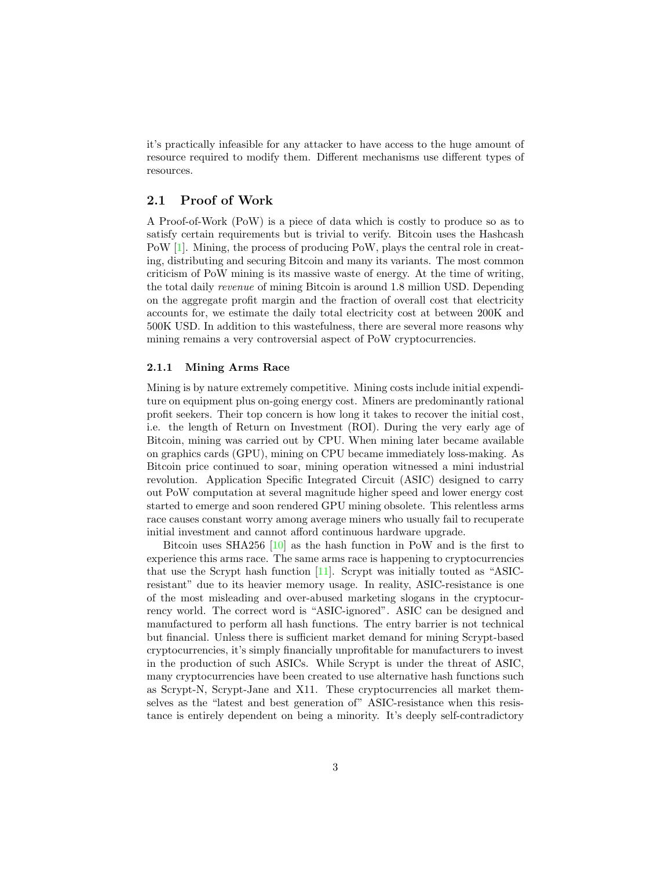it's practically infeasible for any attacker to have access to the huge amount of resource required to modify them. Different mechanisms use different types of resources.

# 2.1 Proof of Work

A Proof-of-Work (PoW) is a piece of data which is costly to produce so as to satisfy certain requirements but is trivial to verify. Bitcoin uses the Hashcash PoW [\[1\]](#page-12-7). Mining, the process of producing PoW, plays the central role in creating, distributing and securing Bitcoin and many its variants. The most common criticism of PoW mining is its massive waste of energy. At the time of writing, the total daily revenue of mining Bitcoin is around 1.8 million USD. Depending on the aggregate profit margin and the fraction of overall cost that electricity accounts for, we estimate the daily total electricity cost at between 200K and 500K USD. In addition to this wastefulness, there are several more reasons why mining remains a very controversial aspect of PoW cryptocurrencies.

#### 2.1.1 Mining Arms Race

Mining is by nature extremely competitive. Mining costs include initial expenditure on equipment plus on-going energy cost. Miners are predominantly rational profit seekers. Their top concern is how long it takes to recover the initial cost, i.e. the length of Return on Investment (ROI). During the very early age of Bitcoin, mining was carried out by CPU. When mining later became available on graphics cards (GPU), mining on CPU became immediately loss-making. As Bitcoin price continued to soar, mining operation witnessed a mini industrial revolution. Application Specific Integrated Circuit (ASIC) designed to carry out PoW computation at several magnitude higher speed and lower energy cost started to emerge and soon rendered GPU mining obsolete. This relentless arms race causes constant worry among average miners who usually fail to recuperate initial investment and cannot afford continuous hardware upgrade.

Bitcoin uses SHA256 [\[10\]](#page-12-8) as the hash function in PoW and is the first to experience this arms race. The same arms race is happening to cryptocurrencies that use the Scrypt hash function [\[11\]](#page-12-4). Scrypt was initially touted as "ASICresistant" due to its heavier memory usage. In reality, ASIC-resistance is one of the most misleading and over-abused marketing slogans in the cryptocurrency world. The correct word is "ASIC-ignored". ASIC can be designed and manufactured to perform all hash functions. The entry barrier is not technical but financial. Unless there is sufficient market demand for mining Scrypt-based cryptocurrencies, it's simply financially unprofitable for manufacturers to invest in the production of such ASICs. While Scrypt is under the threat of ASIC, many cryptocurrencies have been created to use alternative hash functions such as Scrypt-N, Scrypt-Jane and X11. These cryptocurrencies all market themselves as the "latest and best generation of" ASIC-resistance when this resistance is entirely dependent on being a minority. It's deeply self-contradictory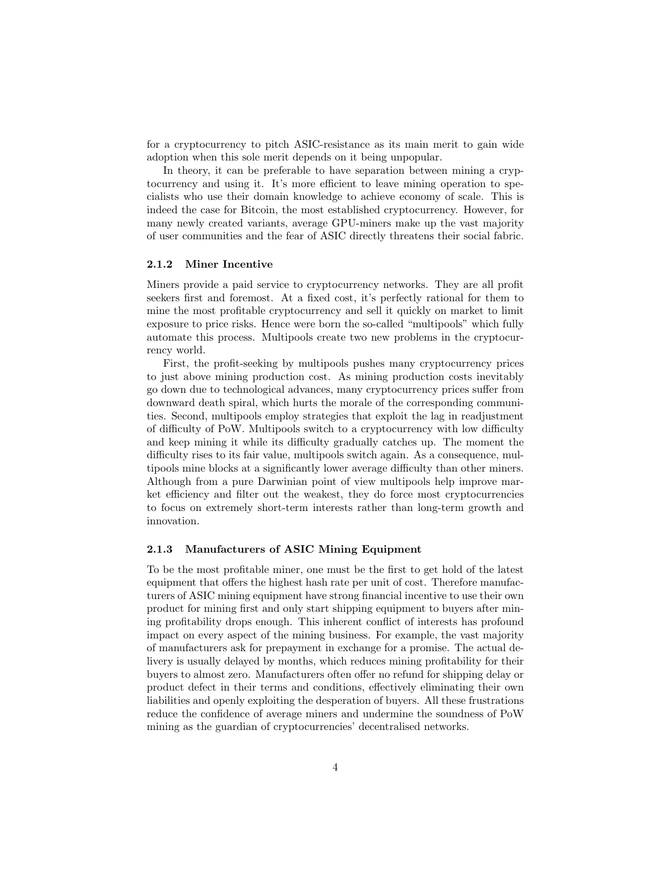for a cryptocurrency to pitch ASIC-resistance as its main merit to gain wide adoption when this sole merit depends on it being unpopular.

In theory, it can be preferable to have separation between mining a cryptocurrency and using it. It's more efficient to leave mining operation to specialists who use their domain knowledge to achieve economy of scale. This is indeed the case for Bitcoin, the most established cryptocurrency. However, for many newly created variants, average GPU-miners make up the vast majority of user communities and the fear of ASIC directly threatens their social fabric.

#### 2.1.2 Miner Incentive

Miners provide a paid service to cryptocurrency networks. They are all profit seekers first and foremost. At a fixed cost, it's perfectly rational for them to mine the most profitable cryptocurrency and sell it quickly on market to limit exposure to price risks. Hence were born the so-called "multipools" which fully automate this process. Multipools create two new problems in the cryptocurrency world.

First, the profit-seeking by multipools pushes many cryptocurrency prices to just above mining production cost. As mining production costs inevitably go down due to technological advances, many cryptocurrency prices suffer from downward death spiral, which hurts the morale of the corresponding communities. Second, multipools employ strategies that exploit the lag in readjustment of difficulty of PoW. Multipools switch to a cryptocurrency with low difficulty and keep mining it while its difficulty gradually catches up. The moment the difficulty rises to its fair value, multipools switch again. As a consequence, multipools mine blocks at a significantly lower average difficulty than other miners. Although from a pure Darwinian point of view multipools help improve market efficiency and filter out the weakest, they do force most cryptocurrencies to focus on extremely short-term interests rather than long-term growth and innovation.

#### 2.1.3 Manufacturers of ASIC Mining Equipment

To be the most profitable miner, one must be the first to get hold of the latest equipment that offers the highest hash rate per unit of cost. Therefore manufacturers of ASIC mining equipment have strong financial incentive to use their own product for mining first and only start shipping equipment to buyers after mining profitability drops enough. This inherent conflict of interests has profound impact on every aspect of the mining business. For example, the vast majority of manufacturers ask for prepayment in exchange for a promise. The actual delivery is usually delayed by months, which reduces mining profitability for their buyers to almost zero. Manufacturers often offer no refund for shipping delay or product defect in their terms and conditions, effectively eliminating their own liabilities and openly exploiting the desperation of buyers. All these frustrations reduce the confidence of average miners and undermine the soundness of PoW mining as the guardian of cryptocurrencies' decentralised networks.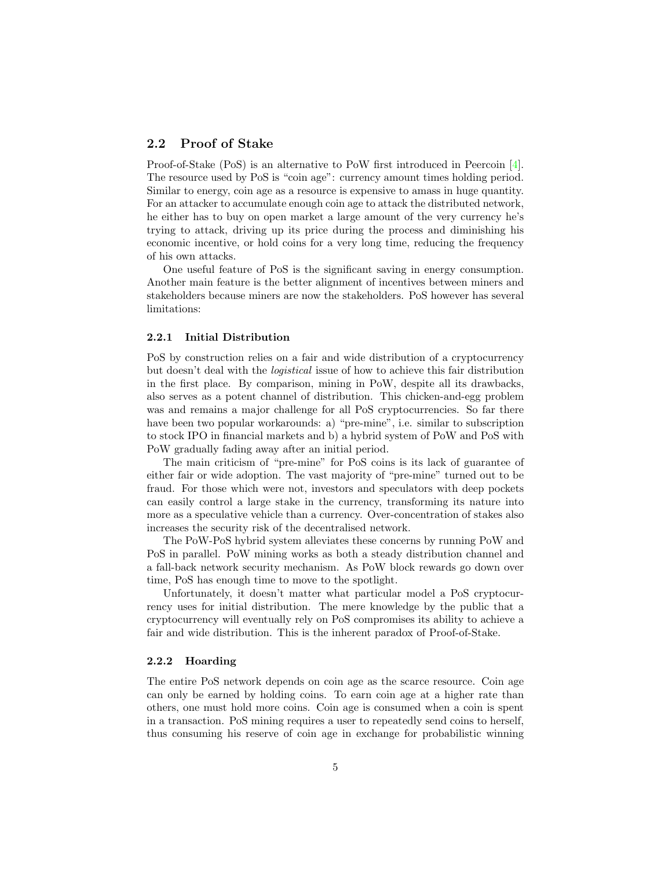# 2.2 Proof of Stake

Proof-of-Stake (PoS) is an alternative to PoW first introduced in Peercoin [\[4\]](#page-12-5). The resource used by PoS is "coin age": currency amount times holding period. Similar to energy, coin age as a resource is expensive to amass in huge quantity. For an attacker to accumulate enough coin age to attack the distributed network, he either has to buy on open market a large amount of the very currency he's trying to attack, driving up its price during the process and diminishing his economic incentive, or hold coins for a very long time, reducing the frequency of his own attacks.

One useful feature of PoS is the significant saving in energy consumption. Another main feature is the better alignment of incentives between miners and stakeholders because miners are now the stakeholders. PoS however has several limitations:

#### 2.2.1 Initial Distribution

PoS by construction relies on a fair and wide distribution of a cryptocurrency but doesn't deal with the logistical issue of how to achieve this fair distribution in the first place. By comparison, mining in PoW, despite all its drawbacks, also serves as a potent channel of distribution. This chicken-and-egg problem was and remains a major challenge for all PoS cryptocurrencies. So far there have been two popular workarounds: a) "pre-mine", i.e. similar to subscription to stock IPO in financial markets and b) a hybrid system of PoW and PoS with PoW gradually fading away after an initial period.

The main criticism of "pre-mine" for PoS coins is its lack of guarantee of either fair or wide adoption. The vast majority of "pre-mine" turned out to be fraud. For those which were not, investors and speculators with deep pockets can easily control a large stake in the currency, transforming its nature into more as a speculative vehicle than a currency. Over-concentration of stakes also increases the security risk of the decentralised network.

The PoW-PoS hybrid system alleviates these concerns by running PoW and PoS in parallel. PoW mining works as both a steady distribution channel and a fall-back network security mechanism. As PoW block rewards go down over time, PoS has enough time to move to the spotlight.

Unfortunately, it doesn't matter what particular model a PoS cryptocurrency uses for initial distribution. The mere knowledge by the public that a cryptocurrency will eventually rely on PoS compromises its ability to achieve a fair and wide distribution. This is the inherent paradox of Proof-of-Stake.

#### 2.2.2 Hoarding

The entire PoS network depends on coin age as the scarce resource. Coin age can only be earned by holding coins. To earn coin age at a higher rate than others, one must hold more coins. Coin age is consumed when a coin is spent in a transaction. PoS mining requires a user to repeatedly send coins to herself, thus consuming his reserve of coin age in exchange for probabilistic winning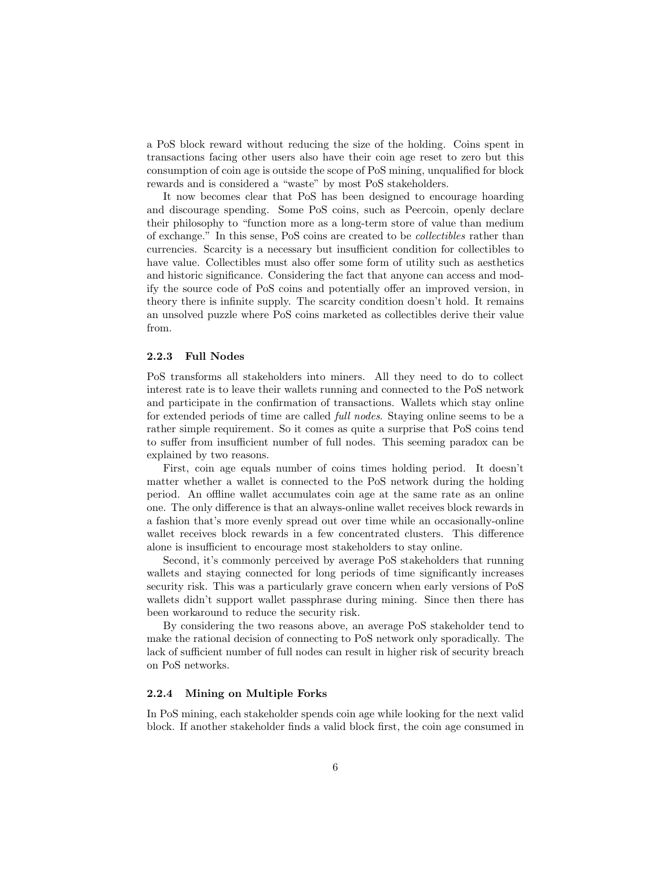a PoS block reward without reducing the size of the holding. Coins spent in transactions facing other users also have their coin age reset to zero but this consumption of coin age is outside the scope of PoS mining, unqualified for block rewards and is considered a "waste" by most PoS stakeholders.

It now becomes clear that PoS has been designed to encourage hoarding and discourage spending. Some PoS coins, such as Peercoin, openly declare their philosophy to "function more as a long-term store of value than medium of exchange." In this sense, PoS coins are created to be collectibles rather than currencies. Scarcity is a necessary but insufficient condition for collectibles to have value. Collectibles must also offer some form of utility such as aesthetics and historic significance. Considering the fact that anyone can access and modify the source code of PoS coins and potentially offer an improved version, in theory there is infinite supply. The scarcity condition doesn't hold. It remains an unsolved puzzle where PoS coins marketed as collectibles derive their value from.

#### 2.2.3 Full Nodes

PoS transforms all stakeholders into miners. All they need to do to collect interest rate is to leave their wallets running and connected to the PoS network and participate in the confirmation of transactions. Wallets which stay online for extended periods of time are called full nodes. Staying online seems to be a rather simple requirement. So it comes as quite a surprise that PoS coins tend to suffer from insufficient number of full nodes. This seeming paradox can be explained by two reasons.

First, coin age equals number of coins times holding period. It doesn't matter whether a wallet is connected to the PoS network during the holding period. An offline wallet accumulates coin age at the same rate as an online one. The only difference is that an always-online wallet receives block rewards in a fashion that's more evenly spread out over time while an occasionally-online wallet receives block rewards in a few concentrated clusters. This difference alone is insufficient to encourage most stakeholders to stay online.

Second, it's commonly perceived by average PoS stakeholders that running wallets and staying connected for long periods of time significantly increases security risk. This was a particularly grave concern when early versions of PoS wallets didn't support wallet passphrase during mining. Since then there has been workaround to reduce the security risk.

By considering the two reasons above, an average PoS stakeholder tend to make the rational decision of connecting to PoS network only sporadically. The lack of sufficient number of full nodes can result in higher risk of security breach on PoS networks.

#### 2.2.4 Mining on Multiple Forks

In PoS mining, each stakeholder spends coin age while looking for the next valid block. If another stakeholder finds a valid block first, the coin age consumed in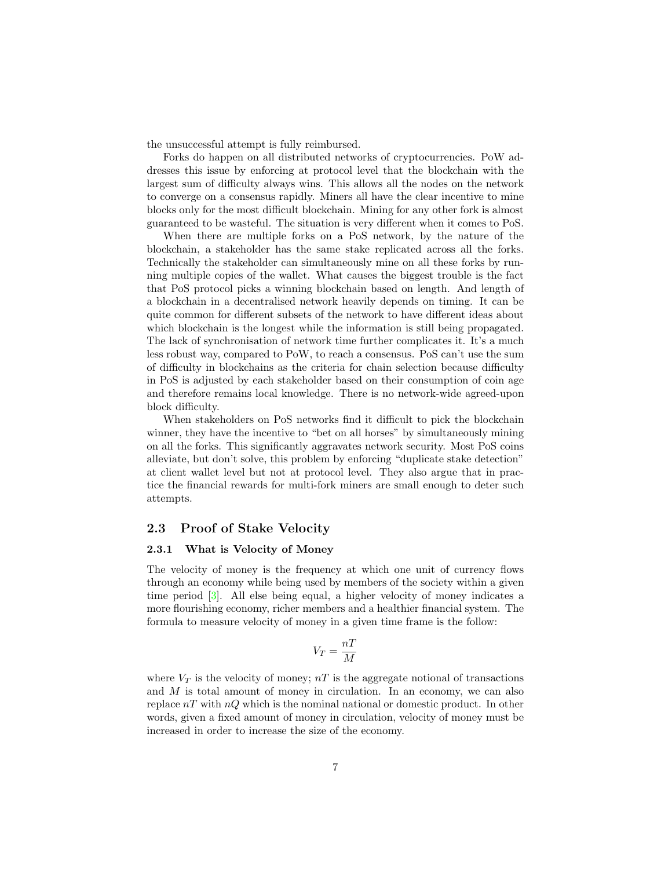the unsuccessful attempt is fully reimbursed.

Forks do happen on all distributed networks of cryptocurrencies. PoW addresses this issue by enforcing at protocol level that the blockchain with the largest sum of difficulty always wins. This allows all the nodes on the network to converge on a consensus rapidly. Miners all have the clear incentive to mine blocks only for the most difficult blockchain. Mining for any other fork is almost guaranteed to be wasteful. The situation is very different when it comes to PoS.

When there are multiple forks on a PoS network, by the nature of the blockchain, a stakeholder has the same stake replicated across all the forks. Technically the stakeholder can simultaneously mine on all these forks by running multiple copies of the wallet. What causes the biggest trouble is the fact that PoS protocol picks a winning blockchain based on length. And length of a blockchain in a decentralised network heavily depends on timing. It can be quite common for different subsets of the network to have different ideas about which blockchain is the longest while the information is still being propagated. The lack of synchronisation of network time further complicates it. It's a much less robust way, compared to PoW, to reach a consensus. PoS can't use the sum of difficulty in blockchains as the criteria for chain selection because difficulty in PoS is adjusted by each stakeholder based on their consumption of coin age and therefore remains local knowledge. There is no network-wide agreed-upon block difficulty.

When stakeholders on PoS networks find it difficult to pick the blockchain winner, they have the incentive to "bet on all horses" by simultaneously mining on all the forks. This significantly aggravates network security. Most PoS coins alleviate, but don't solve, this problem by enforcing "duplicate stake detection" at client wallet level but not at protocol level. They also argue that in practice the financial rewards for multi-fork miners are small enough to deter such attempts.

### 2.3 Proof of Stake Velocity

#### 2.3.1 What is Velocity of Money

The velocity of money is the frequency at which one unit of currency flows through an economy while being used by members of the society within a given time period [\[3\]](#page-12-9). All else being equal, a higher velocity of money indicates a more flourishing economy, richer members and a healthier financial system. The formula to measure velocity of money in a given time frame is the follow:

$$
V_T = \frac{nT}{M}
$$

where  $V_T$  is the velocity of money;  $nT$  is the aggregate notional of transactions and M is total amount of money in circulation. In an economy, we can also replace  $nT$  with  $nQ$  which is the nominal national or domestic product. In other words, given a fixed amount of money in circulation, velocity of money must be increased in order to increase the size of the economy.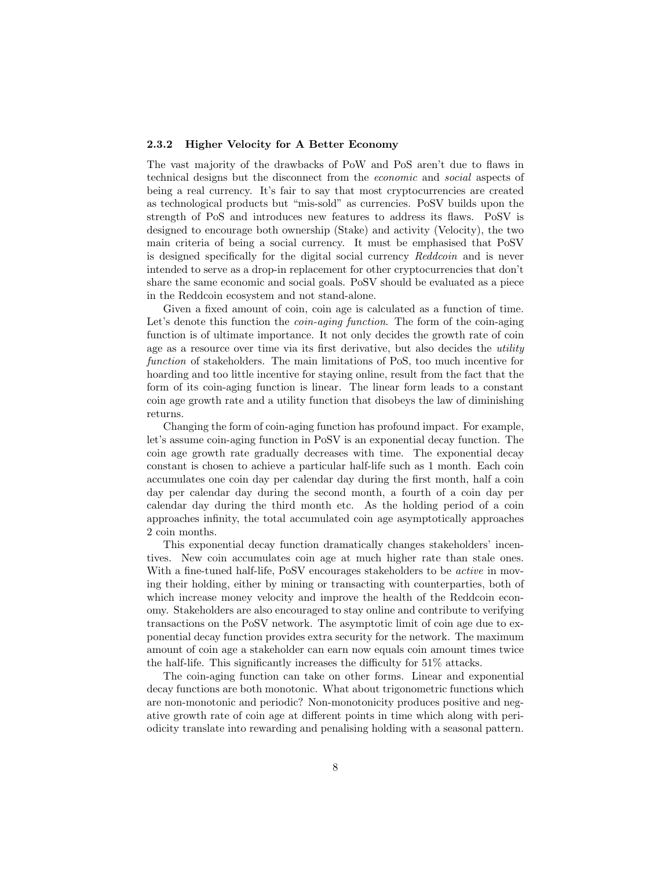#### 2.3.2 Higher Velocity for A Better Economy

The vast majority of the drawbacks of PoW and PoS aren't due to flaws in technical designs but the disconnect from the economic and social aspects of being a real currency. It's fair to say that most cryptocurrencies are created as technological products but "mis-sold" as currencies. PoSV builds upon the strength of PoS and introduces new features to address its flaws. PoSV is designed to encourage both ownership (Stake) and activity (Velocity), the two main criteria of being a social currency. It must be emphasised that PoSV is designed specifically for the digital social currency Reddcoin and is never intended to serve as a drop-in replacement for other cryptocurrencies that don't share the same economic and social goals. PoSV should be evaluated as a piece in the Reddcoin ecosystem and not stand-alone.

Given a fixed amount of coin, coin age is calculated as a function of time. Let's denote this function the *coin-aging function*. The form of the coin-aging function is of ultimate importance. It not only decides the growth rate of coin age as a resource over time via its first derivative, but also decides the *utility* function of stakeholders. The main limitations of PoS, too much incentive for hoarding and too little incentive for staying online, result from the fact that the form of its coin-aging function is linear. The linear form leads to a constant coin age growth rate and a utility function that disobeys the law of diminishing returns.

Changing the form of coin-aging function has profound impact. For example, let's assume coin-aging function in PoSV is an exponential decay function. The coin age growth rate gradually decreases with time. The exponential decay constant is chosen to achieve a particular half-life such as 1 month. Each coin accumulates one coin day per calendar day during the first month, half a coin day per calendar day during the second month, a fourth of a coin day per calendar day during the third month etc. As the holding period of a coin approaches infinity, the total accumulated coin age asymptotically approaches 2 coin months.

This exponential decay function dramatically changes stakeholders' incentives. New coin accumulates coin age at much higher rate than stale ones. With a fine-tuned half-life, PoSV encourages stakeholders to be *active* in moving their holding, either by mining or transacting with counterparties, both of which increase money velocity and improve the health of the Reddcoin economy. Stakeholders are also encouraged to stay online and contribute to verifying transactions on the PoSV network. The asymptotic limit of coin age due to exponential decay function provides extra security for the network. The maximum amount of coin age a stakeholder can earn now equals coin amount times twice the half-life. This significantly increases the difficulty for 51% attacks.

The coin-aging function can take on other forms. Linear and exponential decay functions are both monotonic. What about trigonometric functions which are non-monotonic and periodic? Non-monotonicity produces positive and negative growth rate of coin age at different points in time which along with periodicity translate into rewarding and penalising holding with a seasonal pattern.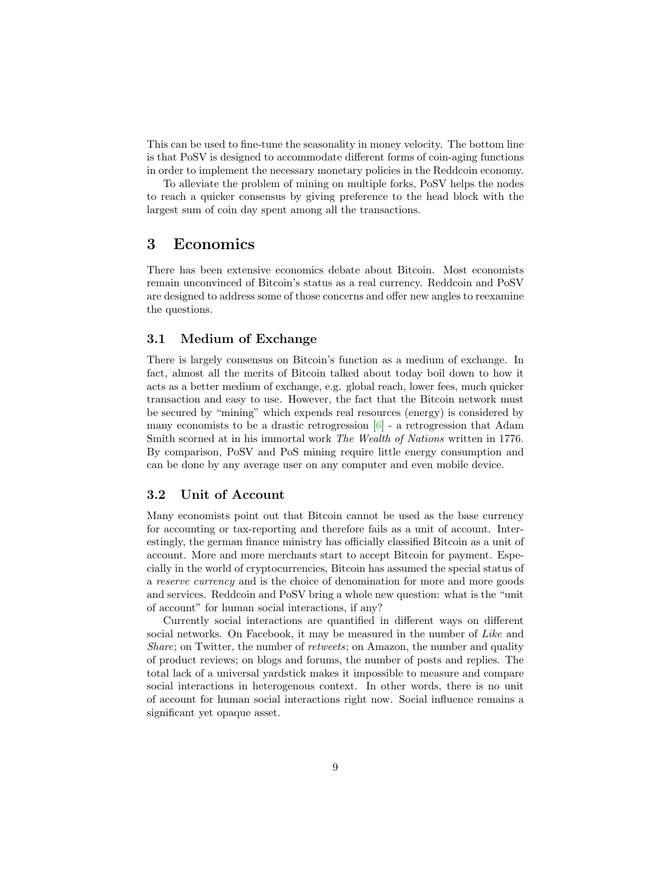This can be used to fine-tune the seasonality in money velocity. The bottom line is that PoSV is designed to accommodate different forms of coin-aging functions in order to implement the necessary monetary policies in the Reddcoin economy.

To alleviate the problem of mining on multiple forks, PoSV helps the nodes to reach a quicker consensus by giving preference to the head block with the largest sum of coin day spent among all the transactions.

# 3 Economics

There has been extensive economics debate about Bitcoin. Most economists remain unconvinced of Bitcoin's status as a real currency. Reddcoin and PoSV are designed to address some of those concerns and offer new angles to reexamine the questions.

### 3.1 Medium of Exchange

There is largely consensus on Bitcoin's function as a medium of exchange. In fact, almost all the merits of Bitcoin talked about today boil down to how it acts as a better medium of exchange, e.g. global reach, lower fees, much quicker transaction and easy to use. However, the fact that the Bitcoin network must be secured by "mining" which expends real resources (energy) is considered by many economists to be a drastic retrogression  $[6]$  - a retrogression that Adam Smith scorned at in his immortal work The Wealth of Nations written in 1776. By comparison, PoSV and PoS mining require little energy consumption and can be done by any average user on any computer and even mobile device.

# 3.2 Unit of Account

Many economists point out that Bitcoin cannot be used as the base currency for accounting or tax-reporting and therefore fails as a unit of account. Interestingly, the german finance ministry has officially classified Bitcoin as a unit of account. More and more merchants start to accept Bitcoin for payment. Especially in the world of cryptocurrencies, Bitcoin has assumed the special status of a reserve currency and is the choice of denomination for more and more goods and services. Reddcoin and PoSV bring a whole new question: what is the "unit of account" for human social interactions, if any?

Currently social interactions are quantified in different ways on different social networks. On Facebook, it may be measured in the number of Like and Share; on Twitter, the number of retweets; on Amazon, the number and quality of product reviews; on blogs and forums, the number of posts and replies. The total lack of a universal yardstick makes it impossible to measure and compare social interactions in heterogenous context. In other words, there is no unit of account for human social interactions right now. Social influence remains a significant yet opaque asset.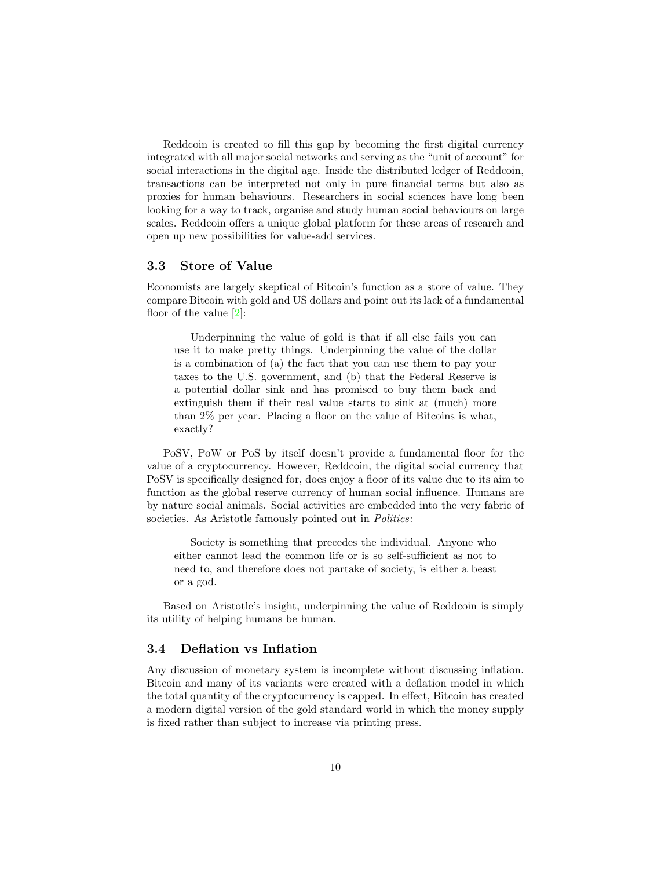Reddcoin is created to fill this gap by becoming the first digital currency integrated with all major social networks and serving as the "unit of account" for social interactions in the digital age. Inside the distributed ledger of Reddcoin, transactions can be interpreted not only in pure financial terms but also as proxies for human behaviours. Researchers in social sciences have long been looking for a way to track, organise and study human social behaviours on large scales. Reddcoin offers a unique global platform for these areas of research and open up new possibilities for value-add services.

# 3.3 Store of Value

Economists are largely skeptical of Bitcoin's function as a store of value. They compare Bitcoin with gold and US dollars and point out its lack of a fundamental floor of the value [\[2\]](#page-12-10):

Underpinning the value of gold is that if all else fails you can use it to make pretty things. Underpinning the value of the dollar is a combination of (a) the fact that you can use them to pay your taxes to the U.S. government, and (b) that the Federal Reserve is a potential dollar sink and has promised to buy them back and extinguish them if their real value starts to sink at (much) more than 2% per year. Placing a floor on the value of Bitcoins is what, exactly?

PoSV, PoW or PoS by itself doesn't provide a fundamental floor for the value of a cryptocurrency. However, Reddcoin, the digital social currency that PoSV is specifically designed for, does enjoy a floor of its value due to its aim to function as the global reserve currency of human social influence. Humans are by nature social animals. Social activities are embedded into the very fabric of societies. As Aristotle famously pointed out in *Politics*:

Society is something that precedes the individual. Anyone who either cannot lead the common life or is so self-sufficient as not to need to, and therefore does not partake of society, is either a beast or a god.

Based on Aristotle's insight, underpinning the value of Reddcoin is simply its utility of helping humans be human.

### 3.4 Deflation vs Inflation

Any discussion of monetary system is incomplete without discussing inflation. Bitcoin and many of its variants were created with a deflation model in which the total quantity of the cryptocurrency is capped. In effect, Bitcoin has created a modern digital version of the gold standard world in which the money supply is fixed rather than subject to increase via printing press.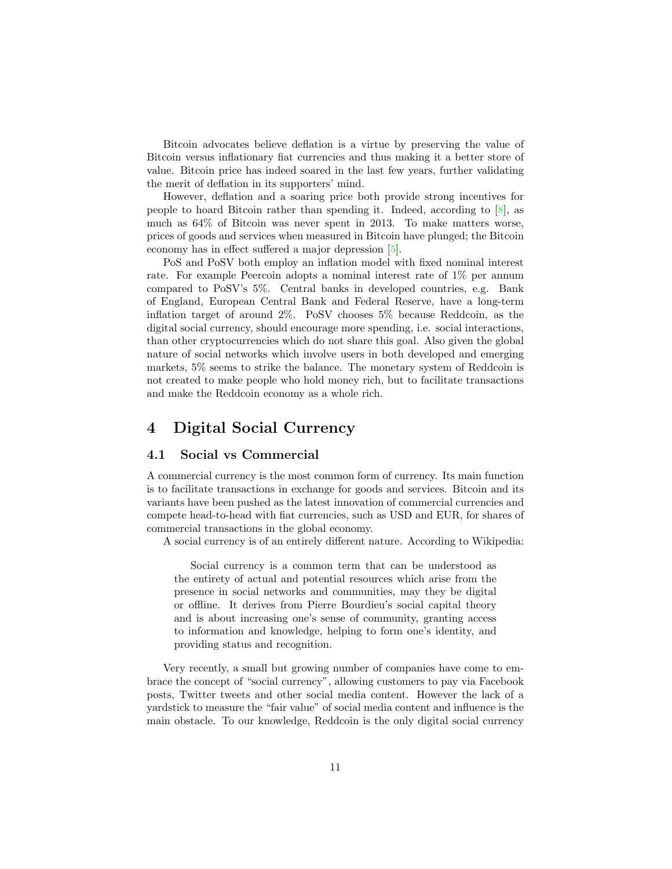Bitcoin advocates believe deflation is a virtue by preserving the value of Bitcoin versus inflationary fiat currencies and thus making it a better store of value. Bitcoin price has indeed soared in the last few years, further validating the merit of deflation in its supporters' mind.

However, deflation and a soaring price both provide strong incentives for people to hoard Bitcoin rather than spending it. Indeed, according to  $[8]$ , as much as 64% of Bitcoin was never spent in 2013. To make matters worse, prices of goods and services when measured in Bitcoin have plunged; the Bitcoin economy has in effect suffered a major depression [\[5\]](#page-12-12).

PoS and PoSV both employ an inflation model with fixed nominal interest rate. For example Peercoin adopts a nominal interest rate of 1% per annum compared to PoSV's 5%. Central banks in developed countries, e.g. Bank of England, European Central Bank and Federal Reserve, have a long-term inflation target of around 2%. PoSV chooses 5% because Reddcoin, as the digital social currency, should encourage more spending, i.e. social interactions, than other cryptocurrencies which do not share this goal. Also given the global nature of social networks which involve users in both developed and emerging markets, 5% seems to strike the balance. The monetary system of Reddcoin is not created to make people who hold money rich, but to facilitate transactions and make the Reddcoin economy as a whole rich.

# 4 Digital Social Currency

### 4.1 Social vs Commercial

A commercial currency is the most common form of currency. Its main function is to facilitate transactions in exchange for goods and services. Bitcoin and its variants have been pushed as the latest innovation of commercial currencies and compete head-to-head with fiat currencies, such as USD and EUR, for shares of commercial transactions in the global economy.

A social currency is of an entirely different nature. According to Wikipedia:

Social currency is a common term that can be understood as the entirety of actual and potential resources which arise from the presence in social networks and communities, may they be digital or offline. It derives from Pierre Bourdieu's social capital theory and is about increasing one's sense of community, granting access to information and knowledge, helping to form one's identity, and providing status and recognition.

Very recently, a small but growing number of companies have come to embrace the concept of "social currency", allowing customers to pay via Facebook posts, Twitter tweets and other social media content. However the lack of a yardstick to measure the "fair value" of social media content and influence is the main obstacle. To our knowledge, Reddcoin is the only digital social currency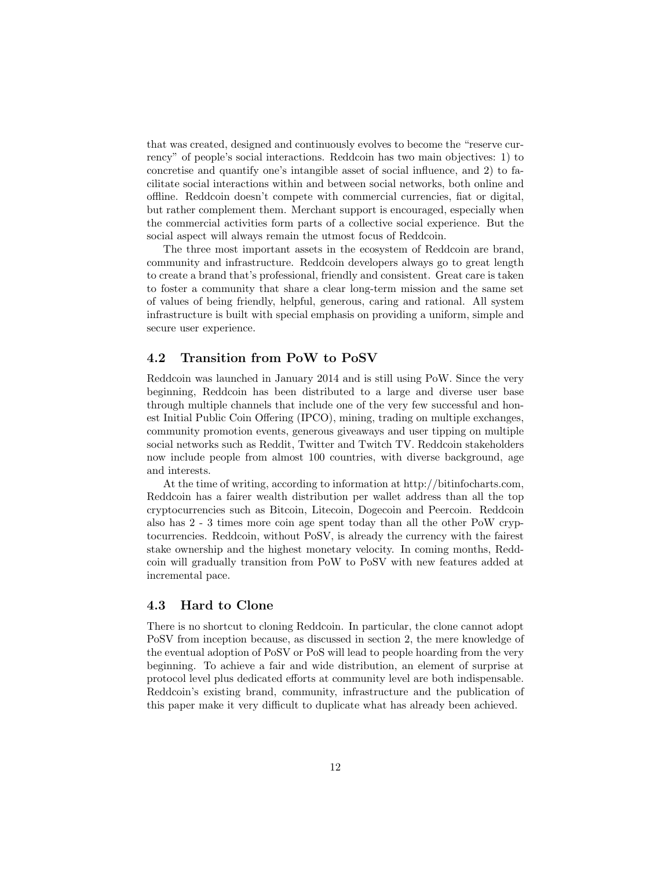that was created, designed and continuously evolves to become the "reserve currency" of people's social interactions. Reddcoin has two main objectives: 1) to concretise and quantify one's intangible asset of social influence, and 2) to facilitate social interactions within and between social networks, both online and offline. Reddcoin doesn't compete with commercial currencies, fiat or digital, but rather complement them. Merchant support is encouraged, especially when the commercial activities form parts of a collective social experience. But the social aspect will always remain the utmost focus of Reddcoin.

The three most important assets in the ecosystem of Reddcoin are brand, community and infrastructure. Reddcoin developers always go to great length to create a brand that's professional, friendly and consistent. Great care is taken to foster a community that share a clear long-term mission and the same set of values of being friendly, helpful, generous, caring and rational. All system infrastructure is built with special emphasis on providing a uniform, simple and secure user experience.

# 4.2 Transition from PoW to PoSV

Reddcoin was launched in January 2014 and is still using PoW. Since the very beginning, Reddcoin has been distributed to a large and diverse user base through multiple channels that include one of the very few successful and honest Initial Public Coin Offering (IPCO), mining, trading on multiple exchanges, community promotion events, generous giveaways and user tipping on multiple social networks such as Reddit, Twitter and Twitch TV. Reddcoin stakeholders now include people from almost 100 countries, with diverse background, age and interests.

At the time of writing, according to information at http://bitinfocharts.com, Reddcoin has a fairer wealth distribution per wallet address than all the top cryptocurrencies such as Bitcoin, Litecoin, Dogecoin and Peercoin. Reddcoin also has 2 - 3 times more coin age spent today than all the other PoW cryptocurrencies. Reddcoin, without PoSV, is already the currency with the fairest stake ownership and the highest monetary velocity. In coming months, Reddcoin will gradually transition from PoW to PoSV with new features added at incremental pace.

#### 4.3 Hard to Clone

There is no shortcut to cloning Reddcoin. In particular, the clone cannot adopt PoSV from inception because, as discussed in section 2, the mere knowledge of the eventual adoption of PoSV or PoS will lead to people hoarding from the very beginning. To achieve a fair and wide distribution, an element of surprise at protocol level plus dedicated efforts at community level are both indispensable. Reddcoin's existing brand, community, infrastructure and the publication of this paper make it very difficult to duplicate what has already been achieved.